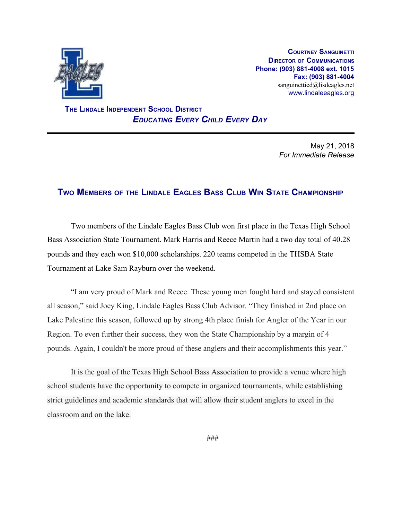

**COURTNEY SANGUINETTI DIRECTOR OF COMMUNICATIONS Phone: (903) 881-4008 ext. 1015 Fax: (903) 881-4004** sanguinetticd@lisdeagles.net www.lindaleeagles.org

 **THE LINDALE INDEPENDENT SCHOOL DISTRICT** *EDUCATING EVERY CHILD EVERY DAY*

> May 21, 2018 *For Immediate Release*

## **TWO MEMBERS OF THE LINDALE EAGLES BASS CLUB WIN STATE CHAMPIONSHIP**

Two members of the Lindale Eagles Bass Club won first place in the Texas High School Bass Association State Tournament. Mark Harris and Reece Martin had a two day total of 40.28 pounds and they each won \$10,000 scholarships. 220 teams competed in the THSBA State Tournament at Lake Sam Rayburn over the weekend.

"I am very proud of Mark and Reece. These young men fought hard and stayed consistent all season," said Joey King, Lindale Eagles Bass Club Advisor. "They finished in 2nd place on Lake Palestine this season, followed up by strong 4th place finish for Angler of the Year in our Region. To even further their success, they won the State Championship by a margin of 4 pounds. Again, I couldn't be more proud of these anglers and their accomplishments this year."

It is the goal of the Texas High School Bass Association to provide a venue where high school students have the opportunity to compete in organized tournaments, while establishing strict guidelines and academic standards that will allow their student anglers to excel in the classroom and on the lake.